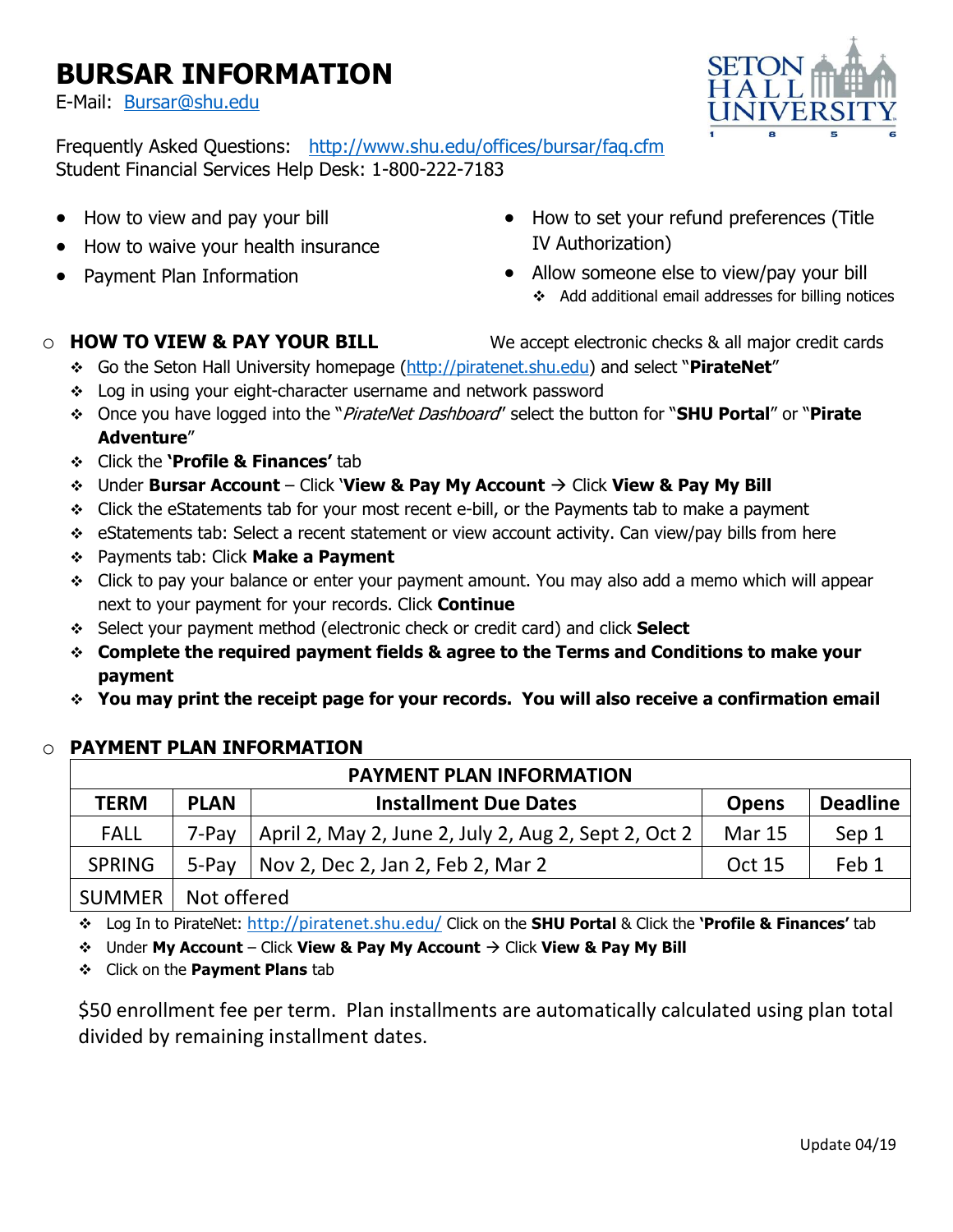# **BURSAR INFORMATION**

E-Mail: [Bursar@shu.edu](mailto:Bursar@shu.edu)



Frequently Asked Questions: <http://www.shu.edu/offices/bursar/faq.cfm> Student Financial Services Help Desk: 1-800-222-7183

- How to view and pay your bill
- How to waive your health insurance
- Payment Plan Information
- How to set your refund preferences (Title IV Authorization)
- Allow someone else to view/pay your bill ❖ Add additional email addresses for billing notices

- o **HOW TO VIEW & PAY YOUR BILL** We accept electronic checks & all major credit cards
	- ❖ Go the Seton Hall University homepage [\(http://piratenet.shu.edu](http://piratenet.shu.edu/)) and select "**PirateNet**"
	- ❖ Log in using your eight-character username and network password
	- ❖ Once you have logged into the "PirateNet Dashboard" select the button for "**SHU Portal**" or "**Pirate Adventure**"
	- ❖ Click the **'Profile & Finances'** tab
	- ❖ Under **Bursar Account** Click '**View & Pay My Account** → Click **View & Pay My Bill**
	- ❖ Click the eStatements tab for your most recent e-bill, or the Payments tab to make a payment
	- ❖ eStatements tab: Select a recent statement or view account activity. Can view/pay bills from here
	- ❖ Payments tab: Click **Make a Payment**
	- ❖ Click to pay your balance or enter your payment amount. You may also add a memo which will appear next to your payment for your records. Click **Continue**
	- ❖ Select your payment method (electronic check or credit card) and click **Select**
	- ❖ **Complete the required payment fields & agree to the Terms and Conditions to make your payment**
	- ❖ **You may print the receipt page for your records. You will also receive a confirmation email**

## o **PAYMENT PLAN INFORMATION**

| <b>PAYMENT PLAN INFORMATION</b> |             |                                                      |               |                 |  |
|---------------------------------|-------------|------------------------------------------------------|---------------|-----------------|--|
| <b>TERM</b>                     | <b>PLAN</b> | <b>Installment Due Dates</b>                         | <b>Opens</b>  | <b>Deadline</b> |  |
| <b>FALL</b>                     | 7-Pav       | April 2, May 2, June 2, July 2, Aug 2, Sept 2, Oct 2 | <b>Mar 15</b> | Sep 1           |  |
| <b>SPRING</b>                   | 5-Pav       | Nov 2, Dec 2, Jan 2, Feb 2, Mar 2                    | <b>Oct 15</b> | Feb 1           |  |
| SUMMER                          | Not offered |                                                      |               |                 |  |

❖ Log In to PirateNet: <http://piratenet.shu.edu/> Click on the **SHU Portal** & Click the **'Profile & Finances'** tab

❖ Under **My Account** – Click **View & Pay My Account** → Click **View & Pay My Bill**

❖ Click on the **Payment Plans** tab

\$50 enrollment fee per term. Plan installments are automatically calculated using plan total divided by remaining installment dates.